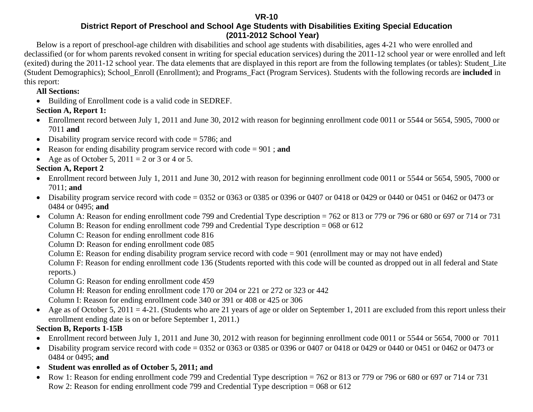#### **VR-10**

#### **District Report of Preschool and School Age Students with Disabilities Exiting Special Education (2011-2012 School Year)**

Below is a report of preschool-age children with disabilities and school age students with disabilities, ages 4-21 who were enrolled and declassified (or for whom parents revoked consent in writing for special education services) during the 2011-12 school year or were enrolled and left (exited) during the 2011-12 school year. The data elements that are displayed in this report are from the following templates (or tables): Student\_Lite (Student Demographics); School\_Enroll (Enrollment); and Programs\_Fact (Program Services). Students with the following records are **included** in this report:

#### **All Sections:**

• Building of Enrollment code is a valid code in SEDREF.

### **Section A, Report 1:**

- Enrollment record between July 1, 2011 and June 30, 2012 with reason for beginning enrollment code 0011 or 5544 or 5654, 5905, 7000 or 7011 **and**
- Disability program service record with code = 5786; and
- •Reason for ending disability program service record with code = 901 ; **and**
- Age as of October 5,  $2011 = 2$  or 3 or 4 or 5.

### **Section A, Report 2**

- Enrollment record between July 1, 2011 and June 30, 2012 with reason for beginning enrollment code 0011 or 5544 or 5654, 5905, 7000 or 7011; **and**
- Disability program service record with code = 0352 or 0363 or 0385 or 0396 or 0407 or 0418 or 0429 or 0440 or 0451 or 0462 or 0473 or 0484 or 0495; **and**
- Column A: Reason for ending enrollment code 799 and Credential Type description = 762 or 813 or 779 or 796 or 680 or 697 or 714 or 731 Column B: Reason for ending enrollment code 799 and Credential Type description = 068 or 612

Column C: Reason for ending enrollment code 816

Column D: Reason for ending enrollment code 085

Column E: Reason for ending disability program service record with code = 901 (enrollment may or may not have ended)

Column F: Reason for ending enrollment code 136 (Students reported with this code will be counted as dropped out in all federal and State reports.)

Column G: Reason for ending enrollment code 459

Column H: Reason for ending enrollment code 170 or 204 or 221 or 272 or 323 or 442

Column I: Reason for ending enrollment code 340 or 391 or 408 or 425 or 306

• Age as of October 5, 2011 = 4-21. (Students who are 21 years of age or older on September 1, 2011 are excluded from this report unless their enrollment ending date is on or before September 1, 2011.)

### **Section B, Reports 1-15B**

- Enrollment record between July 1, 2011 and June 30, 2012 with reason for beginning enrollment code 0011 or 5544 or 5654, 7000 or 7011
- Disability program service record with code = 0352 or 0363 or 0385 or 0396 or 0407 or 0418 or 0429 or 0440 or 0451 or 0462 or 0473 or 0484 or 0495; **and**
- **Student was enrolled as of October 5, 2011; and**
- $\bullet$  Row 1: Reason for ending enrollment code 799 and Credential Type description = 762 or 813 or 779 or 796 or 680 or 697 or 714 or 731 Row 2: Reason for ending enrollment code 799 and Credential Type description = 068 or 612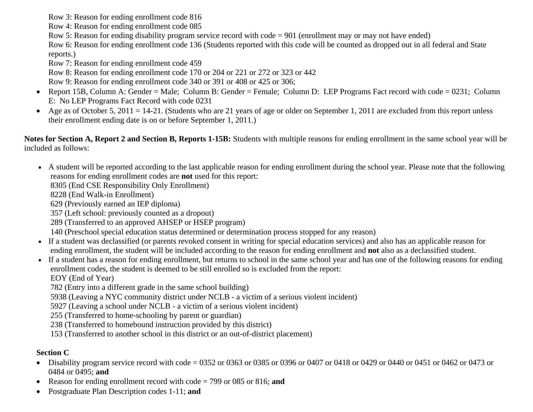Row 3: Reason for ending enrollment code 816

Row 4: Reason for ending enrollment code 085

Row 5: Reason for ending disability program service record with code = 901 (enrollment may or may not have ended)

 Row 6: Reason for ending enrollment code 136 (Students reported with this code will be counted as dropped out in all federal and State reports.)

Row 7: Reason for ending enrollment code 459

Row 8: Reason for ending enrollment code 170 or 204 or 221 or 272 or 323 or 442

Row 9: Reason for ending enrollment code 340 or 391 or 408 or 425 or 306;

- Report 15B, Column A: Gender = Male; Column B: Gender = Female; Column D: LEP Programs Fact record with code = 0231; Column E: No LEP Programs Fact Record with code 0231
- $\bullet$ Age as of October 5, 2011 = 14-21. (Students who are 21 years of age or older on September 1, 2011 are excluded from this report unless their enrollment ending date is on or before September 1, 2011.)

**Notes for Section A, Report 2 and Section B, Reports 1-15B:** Students with multiple reasons for ending enrollment in the same school year will be included as follows:

• A student will be reported according to the last applicable reason for ending enrollment during the school year. Please note that the following reasons for ending enrollment codes are **not** used for this report:

8305 (End CSE Responsibility Only Enrollment)

8228 (End Walk-in Enrollment)

629 (Previously earned an IEP diploma)

357 (Left school: previously counted as a dropout)

289 (Transferred to an approved AHSEP or HSEP program)

140 (Preschool special education status determined or determination process stopped for any reason)

- If a student was declassified (or parents revoked consent in writing for special education services) and also has an applicable reason for ending enrollment, the student will be included according to the reason for ending enrollment and **not** also as a declassified student.
- If a student has a reason for ending enrollment, but returns to school in the same school year and has one of the following reasons for ending enrollment codes, the student is deemed to be still enrolled so is excluded from the report:

EOY (End of Year)

782 (Entry into a different grade in the same school building)

5938 (Leaving a NYC community district under NCLB - a victim of a serious violent incident)

5927 (Leaving a school under NCLB - a victim of a serious violent incident)

255 (Transferred to home-schooling by parent or guardian)

238 (Transferred to homebound instruction provided by this district)

153 (Transferred to another school in this district or an out-of-district placement)

#### **Section C**

- Disability program service record with code = 0352 or 0363 or 0385 or 0396 or 0407 or 0418 or 0429 or 0440 or 0451 or 0462 or 0473 or 0484 or 0495; **and**
- Reason for ending enrollment record with code = 799 or 085 or 816; **and**
- •Postgraduate Plan Description codes 1-11; **and**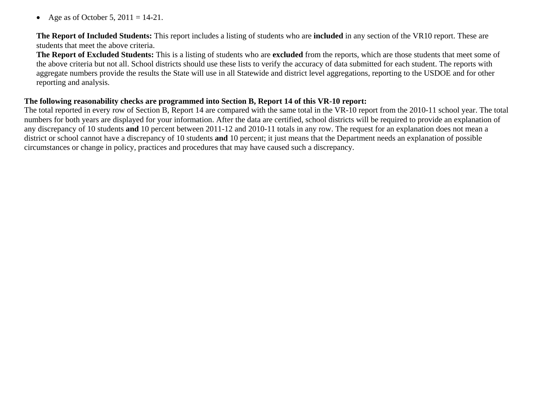$\bullet$ Age as of October 5,  $2011 = 14-21$ .

**The Report of Included Students:** This report includes a listing of students who are **included** in any section of the VR10 report. These are students that meet the above criteria.

**The Report of Excluded Students:** This is a listing of students who are **excluded** from the reports, which are those students that meet some of the above criteria but not all. School districts should use these lists to verify the accuracy of data submitted for each student. The reports with aggregate numbers provide the results the State will use in all Statewide and district level aggregations, reporting to the USDOE and for other reporting and analysis.

#### **The following reasonability checks are programmed into Section B, Report 14 of this VR-10 report:**

The total reported in every row of Section B, Report 14 are compared with the same total in the VR-10 report from the 2010-11 school year. The total numbers for both years are displayed for your information. After the data are certified, school districts will be required to provide an explanation of any discrepancy of 10 students **and** 10 percent between 2011-12 and 2010-11 totals in any row. The request for an explanation does not mean a district or school cannot have a discrepancy of 10 students **and** 10 percent; it just means that the Department needs an explanation of possible circumstances or change in policy, practices and procedures that may have caused such a discrepancy.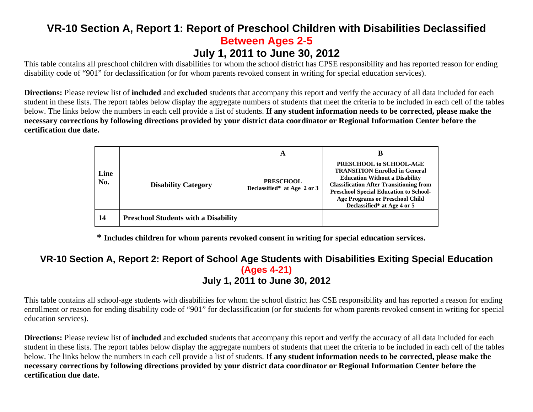### **VR-10 Section A, Report 1: Report of Preschool Children with Disabilities Declassified Between Ages 2-5 July 1, 2011 to June 30, 2012**

This table contains all preschool children with disabilities for whom the school district has CPSE responsibility and has reported reason for ending disability code of "901" for declassification (or for whom parents revoked consent in writing for special education services).

**Directions:** Please review list of **included** and **excluded** students that accompany this report and verify the accuracy of all data included for each student in these lists. The report tables below display the aggregate numbers of students that meet the criteria to be included in each cell of the tables below. The links below the numbers in each cell provide a list of students. **If any student information needs to be corrected, please make the necessary corrections by following directions provided by your district data coordinator or Regional Information Center before the certification due date.**

|             |                                             | A                                               | B                                                                                                                                                                                                                                                                                     |
|-------------|---------------------------------------------|-------------------------------------------------|---------------------------------------------------------------------------------------------------------------------------------------------------------------------------------------------------------------------------------------------------------------------------------------|
| Line<br>No. | <b>Disability Category</b>                  | <b>PRESCHOOL</b><br>Declassified* at Age 2 or 3 | PRESCHOOL to SCHOOL-AGE<br><b>TRANSITION Enrolled in General</b><br><b>Education Without a Disability</b><br><b>Classification After Transitioning from</b><br><b>Preschool Special Education to School-</b><br><b>Age Programs or Preschool Child</b><br>Declassified* at Age 4 or 5 |
| 14          | <b>Preschool Students with a Disability</b> |                                                 |                                                                                                                                                                                                                                                                                       |

**\* Includes children for whom parents revoked consent in writing for special education services.** 

### **VR-10 Section A, Report 2: Report of School Age Students with Disabilities Exiting Special Education (Ages 4-21) July 1, 2011 to June 30, 2012**

This table contains all school-age students with disabilities for whom the school district has CSE responsibility and has reported a reason for ending enrollment or reason for ending disability code of "901" for declassification (or for students for whom parents revoked consent in writing for special education services).

**Directions:** Please review list of **included** and **excluded** students that accompany this report and verify the accuracy of all data included for each student in these lists. The report tables below display the aggregate numbers of students that meet the criteria to be included in each cell of the tables below. The links below the numbers in each cell provide a list of students. **If any student information needs to be corrected, please make the necessary corrections by following directions provided by your district data coordinator or Regional Information Center before the certification due date.**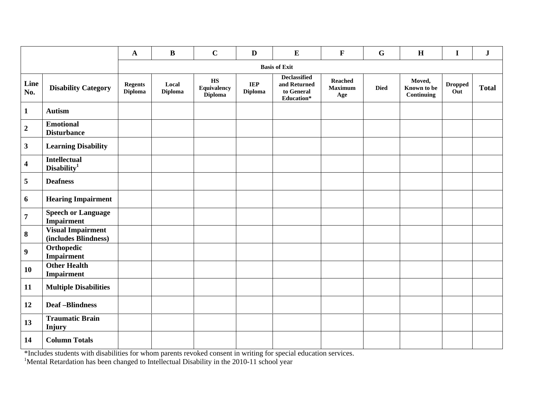|                         |                                                  | $\mathbf{A}$                     | $\bf{B}$                | $\mathbf C$                                                    | $\mathbf D$                  | ${\bf E}$                                                       | $\mathbf F$                             | $\mathbf G$ | H                                   | $\mathbf I$           | ${\bf J}$    |
|-------------------------|--------------------------------------------------|----------------------------------|-------------------------|----------------------------------------------------------------|------------------------------|-----------------------------------------------------------------|-----------------------------------------|-------------|-------------------------------------|-----------------------|--------------|
|                         |                                                  |                                  |                         |                                                                |                              | <b>Basis of Exit</b>                                            |                                         |             |                                     |                       |              |
| Line<br>No.             | <b>Disability Category</b>                       | <b>Regents</b><br><b>Diploma</b> | Local<br><b>Diploma</b> | $\mathbf{H}\mathbf{S}$<br><b>Equivalency</b><br><b>Diploma</b> | <b>IEP</b><br><b>Diploma</b> | <b>Declassified</b><br>and Returned<br>to General<br>Education* | <b>Reached</b><br><b>Maximum</b><br>Age | <b>Died</b> | Moved,<br>Known to be<br>Continuing | <b>Dropped</b><br>Out | <b>Total</b> |
| $\mathbf{1}$            | <b>Autism</b>                                    |                                  |                         |                                                                |                              |                                                                 |                                         |             |                                     |                       |              |
| $\overline{\mathbf{2}}$ | <b>Emotional</b><br><b>Disturbance</b>           |                                  |                         |                                                                |                              |                                                                 |                                         |             |                                     |                       |              |
| $\overline{\mathbf{3}}$ | <b>Learning Disability</b>                       |                                  |                         |                                                                |                              |                                                                 |                                         |             |                                     |                       |              |
| 4                       | <b>Intellectual</b><br>Disability <sup>1</sup>   |                                  |                         |                                                                |                              |                                                                 |                                         |             |                                     |                       |              |
| 5                       | <b>Deafness</b>                                  |                                  |                         |                                                                |                              |                                                                 |                                         |             |                                     |                       |              |
| 6                       | <b>Hearing Impairment</b>                        |                                  |                         |                                                                |                              |                                                                 |                                         |             |                                     |                       |              |
| $\overline{7}$          | <b>Speech or Language</b><br>Impairment          |                                  |                         |                                                                |                              |                                                                 |                                         |             |                                     |                       |              |
| $\bf{8}$                | <b>Visual Impairment</b><br>(includes Blindness) |                                  |                         |                                                                |                              |                                                                 |                                         |             |                                     |                       |              |
| $\boldsymbol{9}$        | Orthopedic<br><b>Impairment</b>                  |                                  |                         |                                                                |                              |                                                                 |                                         |             |                                     |                       |              |
| 10                      | <b>Other Health</b><br>Impairment                |                                  |                         |                                                                |                              |                                                                 |                                         |             |                                     |                       |              |
| 11                      | <b>Multiple Disabilities</b>                     |                                  |                         |                                                                |                              |                                                                 |                                         |             |                                     |                       |              |
| 12                      | <b>Deaf-Blindness</b>                            |                                  |                         |                                                                |                              |                                                                 |                                         |             |                                     |                       |              |
| 13                      | <b>Traumatic Brain</b><br><b>Injury</b>          |                                  |                         |                                                                |                              |                                                                 |                                         |             |                                     |                       |              |
| 14                      | <b>Column Totals</b>                             |                                  |                         |                                                                |                              |                                                                 |                                         |             |                                     |                       |              |

\*Includes students with disabilities for whom parents revoked consent in writing for special education services.

<sup>1</sup>Mental Retardation has been changed to Intellectual Disability in the 2010-11 school year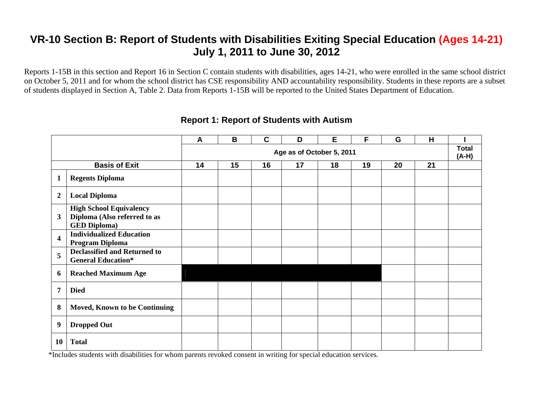Reports 1-15B in this section and Report 16 in Section C contain students with disabilities, ages 14-21, who were enrolled in the same school district on October 5, 2011 and for whom the school district has CSE responsibility AND accountability responsibility. Students in these reports are a subset of students displayed in Section A, Table 2. Data from Reports 1-15B will be reported to the United States Department of Education.

|                         |                                                                                       | A  | B  | $\mathbf C$ | D                         | Е  | F  | G  | H  |                       |
|-------------------------|---------------------------------------------------------------------------------------|----|----|-------------|---------------------------|----|----|----|----|-----------------------|
|                         |                                                                                       |    |    |             | Age as of October 5, 2011 |    |    |    |    | <b>Total</b><br>(A-H) |
|                         | <b>Basis of Exit</b>                                                                  | 14 | 15 | 16          | 17                        | 18 | 19 | 20 | 21 |                       |
| 1                       | <b>Regents Diploma</b>                                                                |    |    |             |                           |    |    |    |    |                       |
| $\boldsymbol{2}$        | <b>Local Diploma</b>                                                                  |    |    |             |                           |    |    |    |    |                       |
| 3                       | <b>High School Equivalency</b><br>Diploma (Also referred to as<br><b>GED Diploma)</b> |    |    |             |                           |    |    |    |    |                       |
| $\overline{\mathbf{4}}$ | <b>Individualized Education</b><br>Program Diploma                                    |    |    |             |                           |    |    |    |    |                       |
| 5                       | <b>Declassified and Returned to</b><br><b>General Education*</b>                      |    |    |             |                           |    |    |    |    |                       |
| 6                       | <b>Reached Maximum Age</b>                                                            |    |    |             |                           |    |    |    |    |                       |
| 7                       | <b>Died</b>                                                                           |    |    |             |                           |    |    |    |    |                       |
| 8                       | <b>Moved, Known to be Continuing</b>                                                  |    |    |             |                           |    |    |    |    |                       |
| 9                       | <b>Dropped Out</b>                                                                    |    |    |             |                           |    |    |    |    |                       |
| <b>10</b>               | <b>Total</b>                                                                          |    |    |             |                           |    |    |    |    |                       |

#### **Report 1: Report of Students with Autism**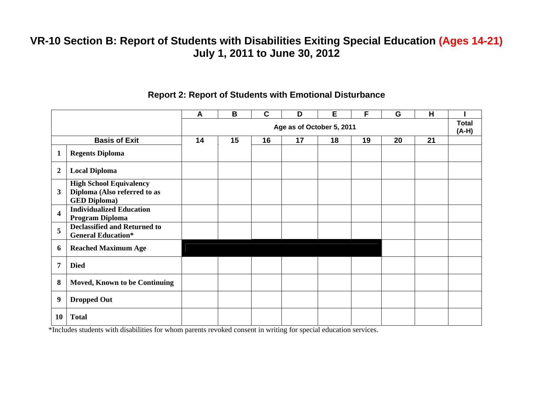|                         |                                                                                       | A  | B  | $\mathbf C$ | D                         | Е  | F  | G  | H  |                         |
|-------------------------|---------------------------------------------------------------------------------------|----|----|-------------|---------------------------|----|----|----|----|-------------------------|
|                         |                                                                                       |    |    |             | Age as of October 5, 2011 |    |    |    |    | <b>Total</b><br>$(A-H)$ |
|                         | <b>Basis of Exit</b>                                                                  | 14 | 15 | 16          | 17                        | 18 | 19 | 20 | 21 |                         |
| 1                       | <b>Regents Diploma</b>                                                                |    |    |             |                           |    |    |    |    |                         |
| $\overline{2}$          | <b>Local Diploma</b>                                                                  |    |    |             |                           |    |    |    |    |                         |
| $\mathbf{3}$            | <b>High School Equivalency</b><br>Diploma (Also referred to as<br><b>GED Diploma)</b> |    |    |             |                           |    |    |    |    |                         |
| $\overline{\mathbf{4}}$ | <b>Individualized Education</b><br>Program Diploma                                    |    |    |             |                           |    |    |    |    |                         |
| 5                       | <b>Declassified and Returned to</b><br><b>General Education*</b>                      |    |    |             |                           |    |    |    |    |                         |
| 6                       | <b>Reached Maximum Age</b>                                                            |    |    |             |                           |    |    |    |    |                         |
| 7                       | <b>Died</b>                                                                           |    |    |             |                           |    |    |    |    |                         |
| 8                       | <b>Moved, Known to be Continuing</b>                                                  |    |    |             |                           |    |    |    |    |                         |
| 9                       | <b>Dropped Out</b>                                                                    |    |    |             |                           |    |    |    |    |                         |
| 10                      | <b>Total</b>                                                                          |    |    |             |                           |    |    |    |    |                         |

#### **Report 2: Report of Students with Emotional Disturbance**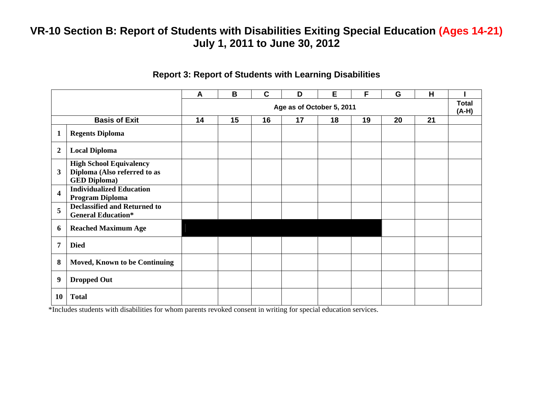|                         |                                                                                       | A  | B  | $\mathbf C$ | D                         | E  | F  | G  | H  |                         |
|-------------------------|---------------------------------------------------------------------------------------|----|----|-------------|---------------------------|----|----|----|----|-------------------------|
|                         |                                                                                       |    |    |             | Age as of October 5, 2011 |    |    |    |    | <b>Total</b><br>$(A-H)$ |
|                         | <b>Basis of Exit</b>                                                                  | 14 | 15 | 16          | 17                        | 18 | 19 | 20 | 21 |                         |
| $\mathbf 1$             | <b>Regents Diploma</b>                                                                |    |    |             |                           |    |    |    |    |                         |
| $\boldsymbol{2}$        | <b>Local Diploma</b>                                                                  |    |    |             |                           |    |    |    |    |                         |
| 3                       | <b>High School Equivalency</b><br>Diploma (Also referred to as<br><b>GED Diploma)</b> |    |    |             |                           |    |    |    |    |                         |
| $\overline{\mathbf{4}}$ | <b>Individualized Education</b><br>Program Diploma                                    |    |    |             |                           |    |    |    |    |                         |
| 5                       | <b>Declassified and Returned to</b><br><b>General Education*</b>                      |    |    |             |                           |    |    |    |    |                         |
| 6                       | <b>Reached Maximum Age</b>                                                            |    |    |             |                           |    |    |    |    |                         |
| 7                       | <b>Died</b>                                                                           |    |    |             |                           |    |    |    |    |                         |
| 8                       | <b>Moved, Known to be Continuing</b>                                                  |    |    |             |                           |    |    |    |    |                         |
| 9                       | <b>Dropped Out</b>                                                                    |    |    |             |                           |    |    |    |    |                         |
| <b>10</b>               | <b>Total</b>                                                                          |    |    |             |                           |    |    |    |    |                         |

#### **Report 3: Report of Students with Learning Disabilities**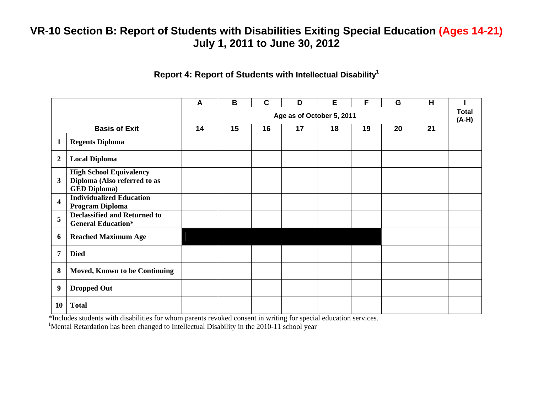#### **Report 4: Report of Students with Intellectual Disability<sup>1</sup>**

|                         |                                                                                       | $\mathsf{A}$ | B  | $\mathbf C$ | D                         | E  | F  | G  | н  |                         |
|-------------------------|---------------------------------------------------------------------------------------|--------------|----|-------------|---------------------------|----|----|----|----|-------------------------|
|                         |                                                                                       |              |    |             | Age as of October 5, 2011 |    |    |    |    | <b>Total</b><br>$(A-H)$ |
|                         | <b>Basis of Exit</b>                                                                  | 14           | 15 | 16          | 17                        | 18 | 19 | 20 | 21 |                         |
| $\mathbf{1}$            | <b>Regents Diploma</b>                                                                |              |    |             |                           |    |    |    |    |                         |
| $\overline{2}$          | <b>Local Diploma</b>                                                                  |              |    |             |                           |    |    |    |    |                         |
| $\mathbf{3}$            | <b>High School Equivalency</b><br>Diploma (Also referred to as<br><b>GED Diploma)</b> |              |    |             |                           |    |    |    |    |                         |
| $\overline{\mathbf{4}}$ | <b>Individualized Education</b><br>Program Diploma                                    |              |    |             |                           |    |    |    |    |                         |
| 5                       | <b>Declassified and Returned to</b><br><b>General Education*</b>                      |              |    |             |                           |    |    |    |    |                         |
| 6                       | <b>Reached Maximum Age</b>                                                            |              |    |             |                           |    |    |    |    |                         |
| 7                       | <b>Died</b>                                                                           |              |    |             |                           |    |    |    |    |                         |
| 8                       | <b>Moved, Known to be Continuing</b>                                                  |              |    |             |                           |    |    |    |    |                         |
| 9                       | <b>Dropped Out</b>                                                                    |              |    |             |                           |    |    |    |    |                         |
| 10                      | <b>Total</b>                                                                          |              |    |             |                           |    |    |    |    |                         |

\*Includes students with disabilities for whom parents revoked consent in writing for special education services.

<sup>1</sup>Mental Retardation has been changed to Intellectual Disability in the 2010-11 school year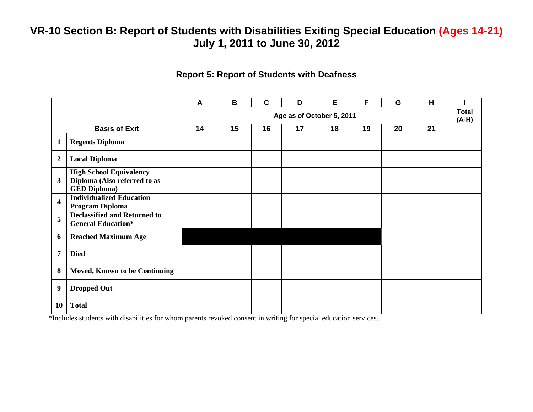#### **Report 5: Report of Students with Deafness**

|                         |                                                                                       | A  | B  | $\mathbf c$ | D                         | Е  | F  | G  | H  |                         |
|-------------------------|---------------------------------------------------------------------------------------|----|----|-------------|---------------------------|----|----|----|----|-------------------------|
|                         |                                                                                       |    |    |             | Age as of October 5, 2011 |    |    |    |    | <b>Total</b><br>$(A-H)$ |
|                         | <b>Basis of Exit</b>                                                                  | 14 | 15 | 16          | 17                        | 18 | 19 | 20 | 21 |                         |
| $\mathbf{1}$            | <b>Regents Diploma</b>                                                                |    |    |             |                           |    |    |    |    |                         |
| $\overline{2}$          | <b>Local Diploma</b>                                                                  |    |    |             |                           |    |    |    |    |                         |
| 3                       | <b>High School Equivalency</b><br>Diploma (Also referred to as<br><b>GED Diploma)</b> |    |    |             |                           |    |    |    |    |                         |
| $\overline{\mathbf{4}}$ | <b>Individualized Education</b><br>Program Diploma                                    |    |    |             |                           |    |    |    |    |                         |
| 5                       | <b>Declassified and Returned to</b><br><b>General Education*</b>                      |    |    |             |                           |    |    |    |    |                         |
| 6                       | <b>Reached Maximum Age</b>                                                            |    |    |             |                           |    |    |    |    |                         |
| 7                       | <b>Died</b>                                                                           |    |    |             |                           |    |    |    |    |                         |
| 8                       | <b>Moved, Known to be Continuing</b>                                                  |    |    |             |                           |    |    |    |    |                         |
| 9                       | <b>Dropped Out</b>                                                                    |    |    |             |                           |    |    |    |    |                         |
| 10                      | <b>Total</b>                                                                          |    |    |             |                           |    |    |    |    |                         |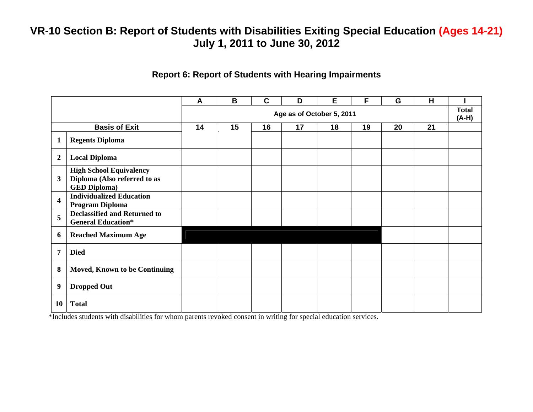#### **Report 6: Report of Students with Hearing Impairments**

|                  |                                                                                       | $\boldsymbol{A}$ | B  | $\mathbf c$ | D                         | E  | F  | G  | H  |                         |
|------------------|---------------------------------------------------------------------------------------|------------------|----|-------------|---------------------------|----|----|----|----|-------------------------|
|                  |                                                                                       |                  |    |             | Age as of October 5, 2011 |    |    |    |    | <b>Total</b><br>$(A-H)$ |
|                  | <b>Basis of Exit</b>                                                                  | 14               | 15 | 16          | 17                        | 18 | 19 | 20 | 21 |                         |
| 1                | <b>Regents Diploma</b>                                                                |                  |    |             |                           |    |    |    |    |                         |
| $\boldsymbol{2}$ | <b>Local Diploma</b>                                                                  |                  |    |             |                           |    |    |    |    |                         |
| $\mathbf{3}$     | <b>High School Equivalency</b><br>Diploma (Also referred to as<br><b>GED Diploma)</b> |                  |    |             |                           |    |    |    |    |                         |
| 4                | <b>Individualized Education</b><br>Program Diploma                                    |                  |    |             |                           |    |    |    |    |                         |
| 5                | <b>Declassified and Returned to</b><br><b>General Education*</b>                      |                  |    |             |                           |    |    |    |    |                         |
| 6                | <b>Reached Maximum Age</b>                                                            |                  |    |             |                           |    |    |    |    |                         |
| 7                | <b>Died</b>                                                                           |                  |    |             |                           |    |    |    |    |                         |
| 8                | <b>Moved, Known to be Continuing</b>                                                  |                  |    |             |                           |    |    |    |    |                         |
| 9                | <b>Dropped Out</b>                                                                    |                  |    |             |                           |    |    |    |    |                         |
| <b>10</b>        | <b>Total</b>                                                                          |                  |    |             |                           |    |    |    |    |                         |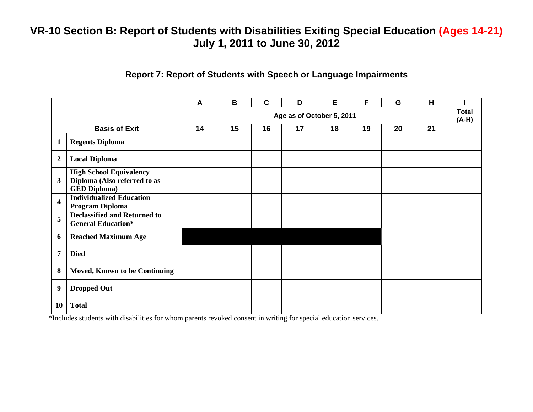#### **Report 7: Report of Students with Speech or Language Impairments**

|                         |                                                                                       | A  | B  | $\mathbf C$ | D                         | E  | F  | G  | H  |                         |
|-------------------------|---------------------------------------------------------------------------------------|----|----|-------------|---------------------------|----|----|----|----|-------------------------|
|                         |                                                                                       |    |    |             | Age as of October 5, 2011 |    |    |    |    | <b>Total</b><br>$(A-H)$ |
|                         | <b>Basis of Exit</b>                                                                  | 14 | 15 | 16          | 17                        | 18 | 19 | 20 | 21 |                         |
| $\mathbf{1}$            | <b>Regents Diploma</b>                                                                |    |    |             |                           |    |    |    |    |                         |
| $\boldsymbol{2}$        | <b>Local Diploma</b>                                                                  |    |    |             |                           |    |    |    |    |                         |
| $\mathbf{3}$            | <b>High School Equivalency</b><br>Diploma (Also referred to as<br><b>GED Diploma)</b> |    |    |             |                           |    |    |    |    |                         |
| $\overline{\mathbf{4}}$ | <b>Individualized Education</b><br>Program Diploma                                    |    |    |             |                           |    |    |    |    |                         |
| 5                       | <b>Declassified and Returned to</b><br><b>General Education*</b>                      |    |    |             |                           |    |    |    |    |                         |
| 6                       | <b>Reached Maximum Age</b>                                                            |    |    |             |                           |    |    |    |    |                         |
| 7                       | <b>Died</b>                                                                           |    |    |             |                           |    |    |    |    |                         |
| 8                       | <b>Moved, Known to be Continuing</b>                                                  |    |    |             |                           |    |    |    |    |                         |
| 9                       | <b>Dropped Out</b>                                                                    |    |    |             |                           |    |    |    |    |                         |
| 10                      | <b>Total</b>                                                                          |    |    |             |                           |    |    |    |    |                         |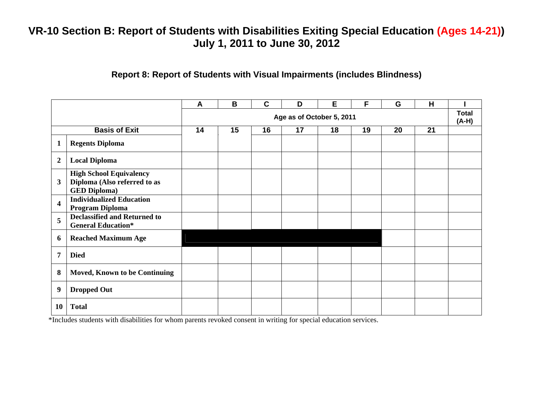### **Report 8: Report of Students with Visual Impairments (includes Blindness)**

|                         |                                                                                       | A  | B  | $\mathbf C$ | D                         | Е  | F  | G  | H  |                         |
|-------------------------|---------------------------------------------------------------------------------------|----|----|-------------|---------------------------|----|----|----|----|-------------------------|
|                         |                                                                                       |    |    |             | Age as of October 5, 2011 |    |    |    |    | <b>Total</b><br>$(A-H)$ |
|                         | <b>Basis of Exit</b>                                                                  | 14 | 15 | 16          | 17                        | 18 | 19 | 20 | 21 |                         |
| $\mathbf{1}$            | <b>Regents Diploma</b>                                                                |    |    |             |                           |    |    |    |    |                         |
| $\boldsymbol{2}$        | <b>Local Diploma</b>                                                                  |    |    |             |                           |    |    |    |    |                         |
| $\mathbf{3}$            | <b>High School Equivalency</b><br>Diploma (Also referred to as<br><b>GED Diploma)</b> |    |    |             |                           |    |    |    |    |                         |
| $\overline{\mathbf{4}}$ | <b>Individualized Education</b><br>Program Diploma                                    |    |    |             |                           |    |    |    |    |                         |
| 5                       | <b>Declassified and Returned to</b><br><b>General Education*</b>                      |    |    |             |                           |    |    |    |    |                         |
| 6                       | <b>Reached Maximum Age</b>                                                            |    |    |             |                           |    |    |    |    |                         |
| 7                       | <b>Died</b>                                                                           |    |    |             |                           |    |    |    |    |                         |
| 8                       | Moved, Known to be Continuing                                                         |    |    |             |                           |    |    |    |    |                         |
| 9                       | <b>Dropped Out</b>                                                                    |    |    |             |                           |    |    |    |    |                         |
| 10                      | <b>Total</b>                                                                          |    |    |             |                           |    |    |    |    |                         |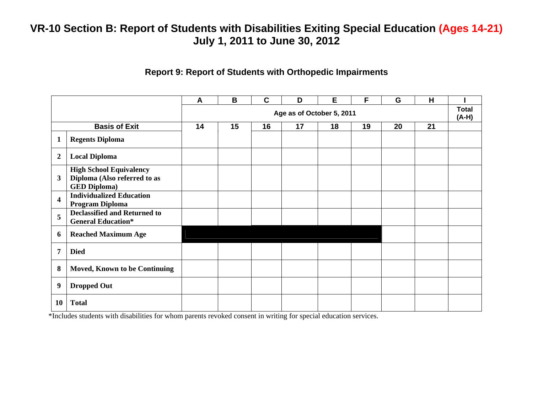### **Report 9: Report of Students with Orthopedic Impairments**

|                         |                                                                                       | A  | B  | $\mathbf c$ | D                         | E  | F  | G  | H  |                         |
|-------------------------|---------------------------------------------------------------------------------------|----|----|-------------|---------------------------|----|----|----|----|-------------------------|
|                         |                                                                                       |    |    |             | Age as of October 5, 2011 |    |    |    |    | <b>Total</b><br>$(A-H)$ |
|                         | <b>Basis of Exit</b>                                                                  | 14 | 15 | 16          | 17                        | 18 | 19 | 20 | 21 |                         |
| $\mathbf{1}$            | <b>Regents Diploma</b>                                                                |    |    |             |                           |    |    |    |    |                         |
| $\boldsymbol{2}$        | <b>Local Diploma</b>                                                                  |    |    |             |                           |    |    |    |    |                         |
| 3                       | <b>High School Equivalency</b><br>Diploma (Also referred to as<br><b>GED Diploma)</b> |    |    |             |                           |    |    |    |    |                         |
| $\overline{\mathbf{4}}$ | <b>Individualized Education</b><br>Program Diploma                                    |    |    |             |                           |    |    |    |    |                         |
| 5                       | <b>Declassified and Returned to</b><br><b>General Education*</b>                      |    |    |             |                           |    |    |    |    |                         |
| 6                       | <b>Reached Maximum Age</b>                                                            |    |    |             |                           |    |    |    |    |                         |
| 7                       | <b>Died</b>                                                                           |    |    |             |                           |    |    |    |    |                         |
| 8                       | <b>Moved, Known to be Continuing</b>                                                  |    |    |             |                           |    |    |    |    |                         |
| 9                       | <b>Dropped Out</b>                                                                    |    |    |             |                           |    |    |    |    |                         |
| 10                      | <b>Total</b>                                                                          |    |    |             |                           |    |    |    |    |                         |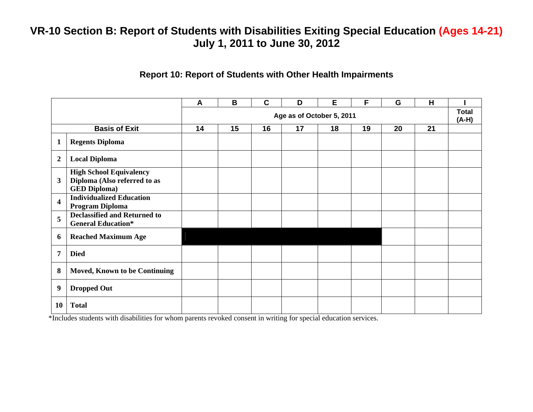#### **Report 10: Report of Students with Other Health Impairments**

|                         |                                                                                       | A  | B  | $\mathbf c$ | D                         | E  | F  | G  | H  |                         |
|-------------------------|---------------------------------------------------------------------------------------|----|----|-------------|---------------------------|----|----|----|----|-------------------------|
|                         |                                                                                       |    |    |             | Age as of October 5, 2011 |    |    |    |    | <b>Total</b><br>$(A-H)$ |
|                         | <b>Basis of Exit</b>                                                                  | 14 | 15 | 16          | 17                        | 18 | 19 | 20 | 21 |                         |
| $\mathbf{1}$            | <b>Regents Diploma</b>                                                                |    |    |             |                           |    |    |    |    |                         |
| $\overline{2}$          | <b>Local Diploma</b>                                                                  |    |    |             |                           |    |    |    |    |                         |
| $\mathbf{3}$            | <b>High School Equivalency</b><br>Diploma (Also referred to as<br><b>GED Diploma)</b> |    |    |             |                           |    |    |    |    |                         |
| $\overline{\mathbf{4}}$ | <b>Individualized Education</b><br>Program Diploma                                    |    |    |             |                           |    |    |    |    |                         |
| 5                       | <b>Declassified and Returned to</b><br><b>General Education*</b>                      |    |    |             |                           |    |    |    |    |                         |
| 6                       | <b>Reached Maximum Age</b>                                                            |    |    |             |                           |    |    |    |    |                         |
| 7                       | <b>Died</b>                                                                           |    |    |             |                           |    |    |    |    |                         |
| 8                       | <b>Moved, Known to be Continuing</b>                                                  |    |    |             |                           |    |    |    |    |                         |
| 9                       | <b>Dropped Out</b>                                                                    |    |    |             |                           |    |    |    |    |                         |
| 10                      | <b>Total</b>                                                                          |    |    |             |                           |    |    |    |    |                         |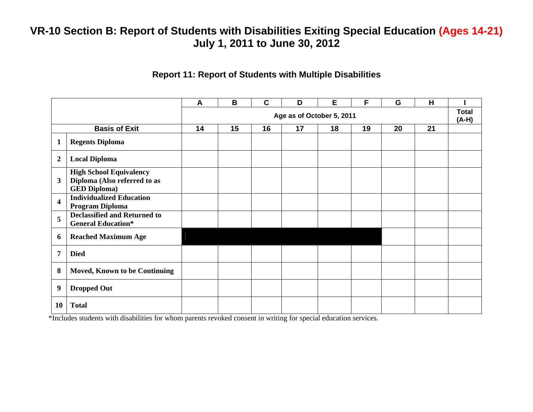#### **Report 11: Report of Students with Multiple Disabilities**

|                         |                                                                                       | $\mathsf{A}$              | B  | $\mathbf C$ | D  | Е  | F  | G  | H  |                         |
|-------------------------|---------------------------------------------------------------------------------------|---------------------------|----|-------------|----|----|----|----|----|-------------------------|
|                         |                                                                                       | Age as of October 5, 2011 |    |             |    |    |    |    |    | <b>Total</b><br>$(A-H)$ |
|                         | <b>Basis of Exit</b>                                                                  | 14                        | 15 | 16          | 17 | 18 | 19 | 20 | 21 |                         |
| $\mathbf{1}$            | <b>Regents Diploma</b>                                                                |                           |    |             |    |    |    |    |    |                         |
| $\overline{2}$          | <b>Local Diploma</b>                                                                  |                           |    |             |    |    |    |    |    |                         |
| 3                       | <b>High School Equivalency</b><br>Diploma (Also referred to as<br><b>GED Diploma)</b> |                           |    |             |    |    |    |    |    |                         |
| $\overline{\mathbf{4}}$ | <b>Individualized Education</b><br>Program Diploma                                    |                           |    |             |    |    |    |    |    |                         |
| 5                       | <b>Declassified and Returned to</b><br><b>General Education*</b>                      |                           |    |             |    |    |    |    |    |                         |
| 6                       | <b>Reached Maximum Age</b>                                                            |                           |    |             |    |    |    |    |    |                         |
| $\overline{7}$          | <b>Died</b>                                                                           |                           |    |             |    |    |    |    |    |                         |
| 8                       | Moved, Known to be Continuing                                                         |                           |    |             |    |    |    |    |    |                         |
| 9                       | <b>Dropped Out</b>                                                                    |                           |    |             |    |    |    |    |    |                         |
| 10                      | <b>Total</b>                                                                          |                           |    |             |    |    |    |    |    |                         |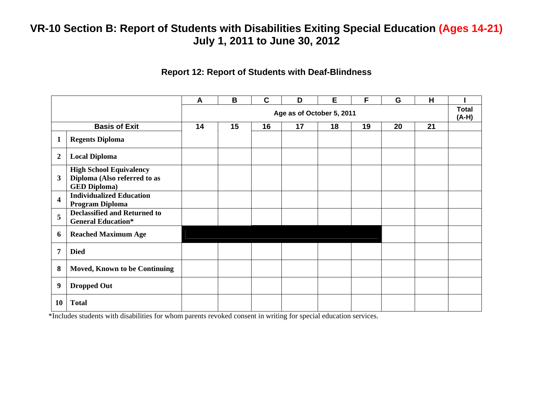### **Report 12: Report of Students with Deaf-Blindness**

|                         |                                                                                       | A                         | B  | $\mathbf{C}$ | D  | E  | F  | G  | H  |                         |
|-------------------------|---------------------------------------------------------------------------------------|---------------------------|----|--------------|----|----|----|----|----|-------------------------|
|                         |                                                                                       | Age as of October 5, 2011 |    |              |    |    |    |    |    | <b>Total</b><br>$(A-H)$ |
|                         | <b>Basis of Exit</b>                                                                  | 14                        | 15 | 16           | 17 | 18 | 19 | 20 | 21 |                         |
| $\mathbf{1}$            | <b>Regents Diploma</b>                                                                |                           |    |              |    |    |    |    |    |                         |
| $\boldsymbol{2}$        | <b>Local Diploma</b>                                                                  |                           |    |              |    |    |    |    |    |                         |
| 3                       | <b>High School Equivalency</b><br>Diploma (Also referred to as<br><b>GED Diploma)</b> |                           |    |              |    |    |    |    |    |                         |
| $\overline{\mathbf{4}}$ | <b>Individualized Education</b><br>Program Diploma                                    |                           |    |              |    |    |    |    |    |                         |
| 5                       | <b>Declassified and Returned to</b><br><b>General Education*</b>                      |                           |    |              |    |    |    |    |    |                         |
| 6                       | <b>Reached Maximum Age</b>                                                            |                           |    |              |    |    |    |    |    |                         |
| 7                       | <b>Died</b>                                                                           |                           |    |              |    |    |    |    |    |                         |
| 8                       | <b>Moved, Known to be Continuing</b>                                                  |                           |    |              |    |    |    |    |    |                         |
| 9                       | <b>Dropped Out</b>                                                                    |                           |    |              |    |    |    |    |    |                         |
| 10                      | <b>Total</b>                                                                          |                           |    |              |    |    |    |    |    |                         |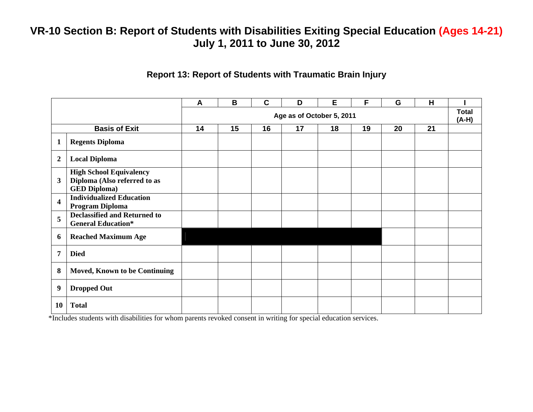#### **Report 13: Report of Students with Traumatic Brain Injury**

|                         |                                                                                       | A  | B                         | $\mathbf c$ | D  | E  | F  | G  | H  |  |  |
|-------------------------|---------------------------------------------------------------------------------------|----|---------------------------|-------------|----|----|----|----|----|--|--|
|                         |                                                                                       |    | Age as of October 5, 2011 |             |    |    |    |    |    |  |  |
|                         | <b>Basis of Exit</b>                                                                  | 14 | 15                        | 16          | 17 | 18 | 19 | 20 | 21 |  |  |
| $\mathbf{1}$            | <b>Regents Diploma</b>                                                                |    |                           |             |    |    |    |    |    |  |  |
| $\overline{2}$          | <b>Local Diploma</b>                                                                  |    |                           |             |    |    |    |    |    |  |  |
| $\mathbf{3}$            | <b>High School Equivalency</b><br>Diploma (Also referred to as<br><b>GED Diploma)</b> |    |                           |             |    |    |    |    |    |  |  |
| $\overline{\mathbf{4}}$ | <b>Individualized Education</b><br>Program Diploma                                    |    |                           |             |    |    |    |    |    |  |  |
| 5                       | <b>Declassified and Returned to</b><br><b>General Education*</b>                      |    |                           |             |    |    |    |    |    |  |  |
| 6                       | <b>Reached Maximum Age</b>                                                            |    |                           |             |    |    |    |    |    |  |  |
| 7                       | <b>Died</b>                                                                           |    |                           |             |    |    |    |    |    |  |  |
| 8                       | <b>Moved, Known to be Continuing</b>                                                  |    |                           |             |    |    |    |    |    |  |  |
| 9                       | <b>Dropped Out</b>                                                                    |    |                           |             |    |    |    |    |    |  |  |
| 10                      | <b>Total</b>                                                                          |    |                           |             |    |    |    |    |    |  |  |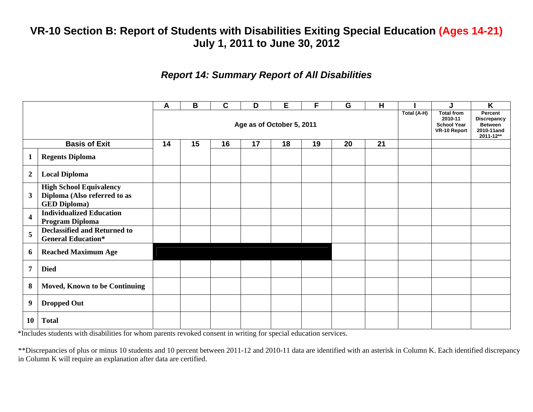### *Report 14: Summary Report of All Disabilities*

|                         |                                                                                       | A                         | B  | C  | D  | Е  | F  | G  | н  | Total (A-H) | J                                                                  | K                                                                          |
|-------------------------|---------------------------------------------------------------------------------------|---------------------------|----|----|----|----|----|----|----|-------------|--------------------------------------------------------------------|----------------------------------------------------------------------------|
|                         |                                                                                       | Age as of October 5, 2011 |    |    |    |    |    |    |    |             | <b>Total from</b><br>2010-11<br><b>School Year</b><br>VR-10 Report | Percent<br><b>Discrepancy</b><br><b>Between</b><br>2010-11and<br>2011-12** |
|                         | <b>Basis of Exit</b>                                                                  | 14                        | 15 | 16 | 17 | 18 | 19 | 20 | 21 |             |                                                                    |                                                                            |
| $\mathbf 1$             | <b>Regents Diploma</b>                                                                |                           |    |    |    |    |    |    |    |             |                                                                    |                                                                            |
| $\overline{2}$          | <b>Local Diploma</b>                                                                  |                           |    |    |    |    |    |    |    |             |                                                                    |                                                                            |
| $\mathbf{3}$            | <b>High School Equivalency</b><br>Diploma (Also referred to as<br><b>GED Diploma)</b> |                           |    |    |    |    |    |    |    |             |                                                                    |                                                                            |
| $\overline{\mathbf{4}}$ | <b>Individualized Education</b><br>Program Diploma                                    |                           |    |    |    |    |    |    |    |             |                                                                    |                                                                            |
| 5                       | <b>Declassified and Returned to</b><br><b>General Education*</b>                      |                           |    |    |    |    |    |    |    |             |                                                                    |                                                                            |
| 6                       | <b>Reached Maximum Age</b>                                                            |                           |    |    |    |    |    |    |    |             |                                                                    |                                                                            |
| $\overline{7}$          | <b>Died</b>                                                                           |                           |    |    |    |    |    |    |    |             |                                                                    |                                                                            |
| 8                       | <b>Moved, Known to be Continuing</b>                                                  |                           |    |    |    |    |    |    |    |             |                                                                    |                                                                            |
| 9                       | <b>Dropped Out</b>                                                                    |                           |    |    |    |    |    |    |    |             |                                                                    |                                                                            |
| <b>10</b>               | <b>Total</b>                                                                          |                           |    |    |    |    |    |    |    |             |                                                                    |                                                                            |

\*Includes students with disabilities for whom parents revoked consent in writing for special education services.

\*\*Discrepancies of plus or minus 10 students and 10 percent between 2011-12 and 2010-11 data are identified with an asterisk in Column K. Each identified discrepancy in Column K will require an explanation after data are certified.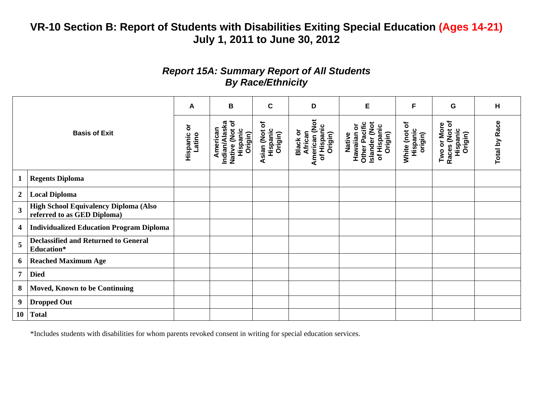### *Report 15A: Summary Report of All Students By Race/Ethnicity*

|                |                                                                      | A                       | В                                                                  | $\mathbf c$                                       | D                                                                     | Е                                                                                         | F                                      | G                                                   | н                    |
|----------------|----------------------------------------------------------------------|-------------------------|--------------------------------------------------------------------|---------------------------------------------------|-----------------------------------------------------------------------|-------------------------------------------------------------------------------------------|----------------------------------------|-----------------------------------------------------|----------------------|
|                | <b>Basis of Exit</b>                                                 | ŏ<br>Hispanic<br>Latino | Native (Not of<br>Indian/Alaska<br>American<br>Hispanic<br>Origin) | $\mathbf{b}$<br>Hispanic<br>Asian (Not<br>Origin) | American (Not<br>of Hispanic<br><b>Black or</b><br>African<br>Origin) | <b>Hawaiian or<br/>Other Pacific</b><br>Islander (Not<br>of Hispanic<br>Origin)<br>Native | ð<br>Hispanic<br>White (not<br>origin) | Races (Not of<br>Two or More<br>Hispanic<br>Origin) | <b>Total by Race</b> |
| 1              | <b>Regents Diploma</b>                                               |                         |                                                                    |                                                   |                                                                       |                                                                                           |                                        |                                                     |                      |
| $\overline{2}$ | <b>Local Diploma</b>                                                 |                         |                                                                    |                                                   |                                                                       |                                                                                           |                                        |                                                     |                      |
| 3              | High School Equivalency Diploma (Also<br>referred to as GED Diploma) |                         |                                                                    |                                                   |                                                                       |                                                                                           |                                        |                                                     |                      |
| 4              | <b>Individualized Education Program Diploma</b>                      |                         |                                                                    |                                                   |                                                                       |                                                                                           |                                        |                                                     |                      |
| 5              | <b>Declassified and Returned to General</b><br>Education*            |                         |                                                                    |                                                   |                                                                       |                                                                                           |                                        |                                                     |                      |
| 6              | <b>Reached Maximum Age</b>                                           |                         |                                                                    |                                                   |                                                                       |                                                                                           |                                        |                                                     |                      |
| 7              | <b>Died</b>                                                          |                         |                                                                    |                                                   |                                                                       |                                                                                           |                                        |                                                     |                      |
| 8              | <b>Moved, Known to be Continuing</b>                                 |                         |                                                                    |                                                   |                                                                       |                                                                                           |                                        |                                                     |                      |
| 9              | <b>Dropped Out</b>                                                   |                         |                                                                    |                                                   |                                                                       |                                                                                           |                                        |                                                     |                      |
| <b>10</b>      | <b>Total</b>                                                         |                         |                                                                    |                                                   |                                                                       |                                                                                           |                                        |                                                     |                      |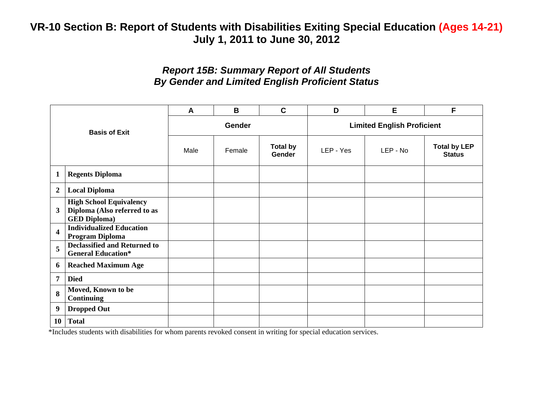### *Report 15B: Summary Report of All Students By Gender and Limited English Proficient Status*

| <b>Basis of Exit</b>    |                                                                                       | A    | B             | $\mathbf C$                      | D                                 | Е        | F                                    |
|-------------------------|---------------------------------------------------------------------------------------|------|---------------|----------------------------------|-----------------------------------|----------|--------------------------------------|
|                         |                                                                                       |      | <b>Gender</b> |                                  | <b>Limited English Proficient</b> |          |                                      |
|                         |                                                                                       | Male | Female        | <b>Total by</b><br><b>Gender</b> | LEP - Yes                         | LEP - No | <b>Total by LEP</b><br><b>Status</b> |
| $\mathbf{1}$            | <b>Regents Diploma</b>                                                                |      |               |                                  |                                   |          |                                      |
| $\boldsymbol{2}$        | <b>Local Diploma</b>                                                                  |      |               |                                  |                                   |          |                                      |
| 3                       | <b>High School Equivalency</b><br>Diploma (Also referred to as<br><b>GED Diploma)</b> |      |               |                                  |                                   |          |                                      |
| $\overline{\mathbf{4}}$ | <b>Individualized Education</b><br>Program Diploma                                    |      |               |                                  |                                   |          |                                      |
| 5                       | <b>Declassified and Returned to</b><br><b>General Education*</b>                      |      |               |                                  |                                   |          |                                      |
| 6                       | <b>Reached Maximum Age</b>                                                            |      |               |                                  |                                   |          |                                      |
| 7                       | <b>Died</b>                                                                           |      |               |                                  |                                   |          |                                      |
| 8                       | Moved, Known to be<br><b>Continuing</b>                                               |      |               |                                  |                                   |          |                                      |
| 9                       | <b>Dropped Out</b>                                                                    |      |               |                                  |                                   |          |                                      |
| <b>10</b>               | <b>Total</b>                                                                          |      |               |                                  |                                   |          |                                      |